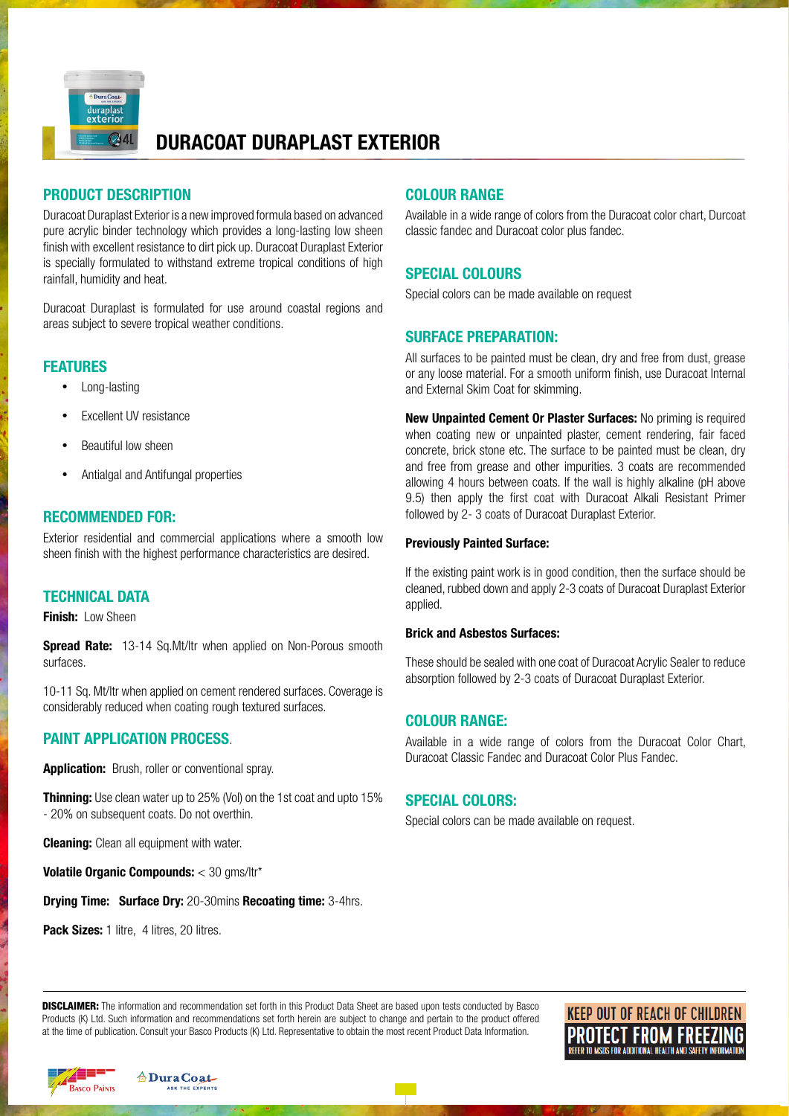

# **DURACOAT DURAPLAST EXTERIOR**

# **PRODUCT DESCRIPTION**

Duracoat Duraplast Exterior is a new improved formula based on advanced pure acrylic binder technology which provides a long-lasting low sheen finish with excellent resistance to dirt pick up. Duracoat Duraplast Exterior is specially formulated to withstand extreme tropical conditions of high rainfall, humidity and heat.

Duracoat Duraplast is formulated for use around coastal regions and areas subject to severe tropical weather conditions.

# **FEATURES**

- Long-lasting
- **Excellent UV resistance**
- **Beautiful low sheen**
- Antialgal and Antifungal properties

# **RECOMMENDED FOR:**

Exterior residential and commercial applications where a smooth low sheen finish with the highest performance characteristics are desired.

# **TECHNICAL DATA**

**Finish:** Low Sheen

**Spread Rate:** 13-14 Sq.Mt/ltr when applied on Non-Porous smooth surfaces.

10-11 Sq. Mt/ltr when applied on cement rendered surfaces. Coverage is considerably reduced when coating rough textured surfaces.

# **PAINT APPLICATION PROCESS**.

**Application:** Brush, roller or conventional spray.

**Thinning:** Use clean water up to 25% (Vol) on the 1st coat and upto 15% - 20% on subsequent coats. Do not overthin.

**Cleaning:** Clean all equipment with water.

**Volatile Organic Compounds:** < 30 gms/ltr\*

**Drying Time: Surface Dry:** 20-30mins **Recoating time:** 3-4hrs.

Pack Sizes: 1 litre, 4 litres, 20 litres.

# **COLOUR RANGE**

Available in a wide range of colors from the Duracoat color chart, Durcoat classic fandec and Duracoat color plus fandec.

# **SPECIAL COLOURS**

Special colors can be made available on request

## **SURFACE PREPARATION:**

All surfaces to be painted must be clean, dry and free from dust, grease or any loose material. For a smooth uniform finish, use Duracoat Internal and External Skim Coat for skimming.

**New Unpainted Cement Or Plaster Surfaces:** No priming is required when coating new or unpainted plaster, cement rendering, fair faced concrete, brick stone etc. The surface to be painted must be clean, dry and free from grease and other impurities. 3 coats are recommended allowing 4 hours between coats. If the wall is highly alkaline (pH above 9.5) then apply the first coat with Duracoat Alkali Resistant Primer followed by 2- 3 coats of Duracoat Duraplast Exterior.

#### **Previously Painted Surface:**

If the existing paint work is in good condition, then the surface should be cleaned, rubbed down and apply 2-3 coats of Duracoat Duraplast Exterior applied.

#### **Brick and Asbestos Surfaces:**

These should be sealed with one coat of Duracoat Acrylic Sealer to reduce absorption followed by 2-3 coats of Duracoat Duraplast Exterior.

# **COLOUR RANGE:**

Available in a wide range of colors from the Duracoat Color Chart, Duracoat Classic Fandec and Duracoat Color Plus Fandec.

#### **SPECIAL COLORS:**

Special colors can be made available on request.

**DISCLAIMER:** The information and recommendation set forth in this Product Data Sheet are based upon tests conducted by Basco Products (K) Ltd. Such information and recommendations set forth herein are subject to change and pertain to the product offered at the time of publication. Consult your Basco Products (K) Ltd. Representative to obtain the most recent Product Data Information.

**KEEP OUT OF REACH OF CHILDREN PROTECT FROM FREEZING**<br>REFER TO MSDS FOR ADDITIONAL HEALTH AND SAFETY INFORMATION